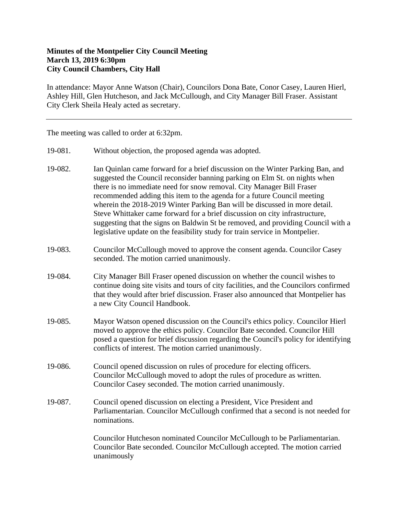## **Minutes of the Montpelier City Council Meeting March 13, 2019 6:30pm City Council Chambers, City Hall**

In attendance: Mayor Anne Watson (Chair), Councilors Dona Bate, Conor Casey, Lauren Hierl, Ashley Hill, Glen Hutcheson, and Jack McCullough, and City Manager Bill Fraser. Assistant City Clerk Sheila Healy acted as secretary.

The meeting was called to order at 6:32pm.

- 19-081. Without objection, the proposed agenda was adopted.
- 19-082. Ian Quinlan came forward for a brief discussion on the Winter Parking Ban, and suggested the Council reconsider banning parking on Elm St. on nights when there is no immediate need for snow removal. City Manager Bill Fraser recommended adding this item to the agenda for a future Council meeting wherein the 2018-2019 Winter Parking Ban will be discussed in more detail. Steve Whittaker came forward for a brief discussion on city infrastructure, suggesting that the signs on Baldwin St be removed, and providing Council with a legislative update on the feasibility study for train service in Montpelier.
- 19-083. Councilor McCullough moved to approve the consent agenda. Councilor Casey seconded. The motion carried unanimously.
- 19-084. City Manager Bill Fraser opened discussion on whether the council wishes to continue doing site visits and tours of city facilities, and the Councilors confirmed that they would after brief discussion. Fraser also announced that Montpelier has a new City Council Handbook.
- 19-085. Mayor Watson opened discussion on the Council's ethics policy. Councilor Hierl moved to approve the ethics policy. Councilor Bate seconded. Councilor Hill posed a question for brief discussion regarding the Council's policy for identifying conflicts of interest. The motion carried unanimously.
- 19-086. Council opened discussion on rules of procedure for electing officers. Councilor McCullough moved to adopt the rules of procedure as written. Councilor Casey seconded. The motion carried unanimously.
- 19-087. Council opened discussion on electing a President, Vice President and Parliamentarian. Councilor McCullough confirmed that a second is not needed for nominations.

Councilor Hutcheson nominated Councilor McCullough to be Parliamentarian. Councilor Bate seconded. Councilor McCullough accepted. The motion carried unanimously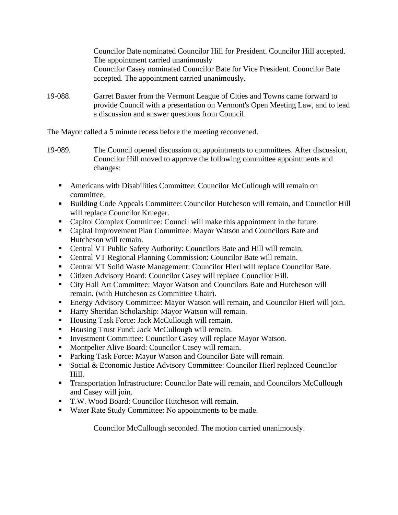Councilor Bate nominated Councilor Hill for President. Councilor Hill accepted. The appointment carried unanimously Councilor Casey nominated Councilor Bate for Vice President. Councilor Bate accepted. The appointment carried unanimously.

19-088. Garret Baxter from the Vermont League of Cities and Towns came forward to provide Council with a presentation on Vermont's Open Meeting Law, and to lead a discussion and answer questions from Council.

The Mayor called a 5 minute recess before the meeting reconvened.

- 19-089. The Council opened discussion on appointments to committees. After discussion, Councilor Hill moved to approve the following committee appointments and changes:
	- Americans with Disabilities Committee: Councilor McCullough will remain on committee,
	- Building Code Appeals Committee: Councilor Hutcheson will remain, and Councilor Hill will replace Councilor Krueger.
	- Capitol Complex Committee: Council will make this appointment in the future.
	- Capital Improvement Plan Committee: Mayor Watson and Councilors Bate and Hutcheson will remain.
	- Central VT Public Safety Authority: Councilors Bate and Hill will remain.
	- Central VT Regional Planning Commission: Councilor Bate will remain.
	- Central VT Solid Waste Management: Councilor Hierl will replace Councilor Bate.
	- Citizen Advisory Board: Councilor Casey will replace Councilor Hill.
	- City Hall Art Committee: Mayor Watson and Councilors Bate and Hutcheson will remain, (with Hutcheson as Committee Chair).
	- Energy Advisory Committee: Mayor Watson will remain, and Councilor Hierl will join.
	- Harry Sheridan Scholarship: Mayor Watson will remain.
	- Housing Task Force: Jack McCullough will remain.
	- Housing Trust Fund: Jack McCullough will remain.
	- **Investment Committee: Councilor Casey will replace Mayor Watson.**
	- **Montpelier Alive Board: Councilor Casey will remain.**
	- **Parking Task Force: Mayor Watson and Councilor Bate will remain.**
	- Social & Economic Justice Advisory Committee: Councilor Hierl replaced Councilor Hill.
	- Transportation Infrastructure: Councilor Bate will remain, and Councilors McCullough and Casey will join.
	- T.W. Wood Board: Councilor Hutcheson will remain.
	- Water Rate Study Committee: No appointments to be made.

Councilor McCullough seconded. The motion carried unanimously.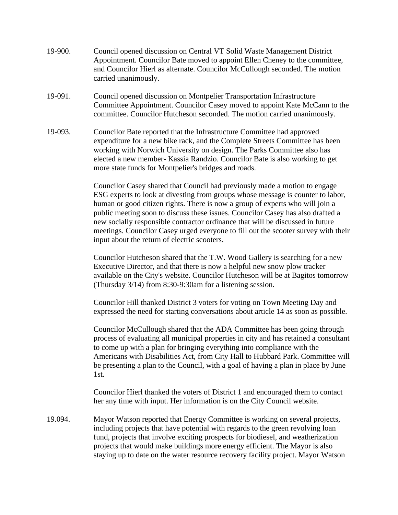- 19-900. Council opened discussion on Central VT Solid Waste Management District Appointment. Councilor Bate moved to appoint Ellen Cheney to the committee, and Councilor Hierl as alternate. Councilor McCullough seconded. The motion carried unanimously.
- 19-091. Council opened discussion on Montpelier Transportation Infrastructure Committee Appointment. Councilor Casey moved to appoint Kate McCann to the committee. Councilor Hutcheson seconded. The motion carried unanimously.
- 19-093. Councilor Bate reported that the Infrastructure Committee had approved expenditure for a new bike rack, and the Complete Streets Committee has been working with Norwich University on design. The Parks Committee also has elected a new member- Kassia Randzio. Councilor Bate is also working to get more state funds for Montpelier's bridges and roads.

Councilor Casey shared that Council had previously made a motion to engage ESG experts to look at divesting from groups whose message is counter to labor, human or good citizen rights. There is now a group of experts who will join a public meeting soon to discuss these issues. Councilor Casey has also drafted a new socially responsible contractor ordinance that will be discussed in future meetings. Councilor Casey urged everyone to fill out the scooter survey with their input about the return of electric scooters.

Councilor Hutcheson shared that the T.W. Wood Gallery is searching for a new Executive Director, and that there is now a helpful new snow plow tracker available on the City's website. Councilor Hutcheson will be at Bagitos tomorrow (Thursday 3/14) from 8:30-9:30am for a listening session.

Councilor Hill thanked District 3 voters for voting on Town Meeting Day and expressed the need for starting conversations about article 14 as soon as possible.

Councilor McCullough shared that the ADA Committee has been going through process of evaluating all municipal properties in city and has retained a consultant to come up with a plan for bringing everything into compliance with the Americans with Disabilities Act, from City Hall to Hubbard Park. Committee will be presenting a plan to the Council, with a goal of having a plan in place by June 1st.

Councilor Hierl thanked the voters of District 1 and encouraged them to contact her any time with input. Her information is on the City Council website.

19.094. Mayor Watson reported that Energy Committee is working on several projects, including projects that have potential with regards to the green revolving loan fund, projects that involve exciting prospects for biodiesel, and weatherization projects that would make buildings more energy efficient. The Mayor is also staying up to date on the water resource recovery facility project. Mayor Watson